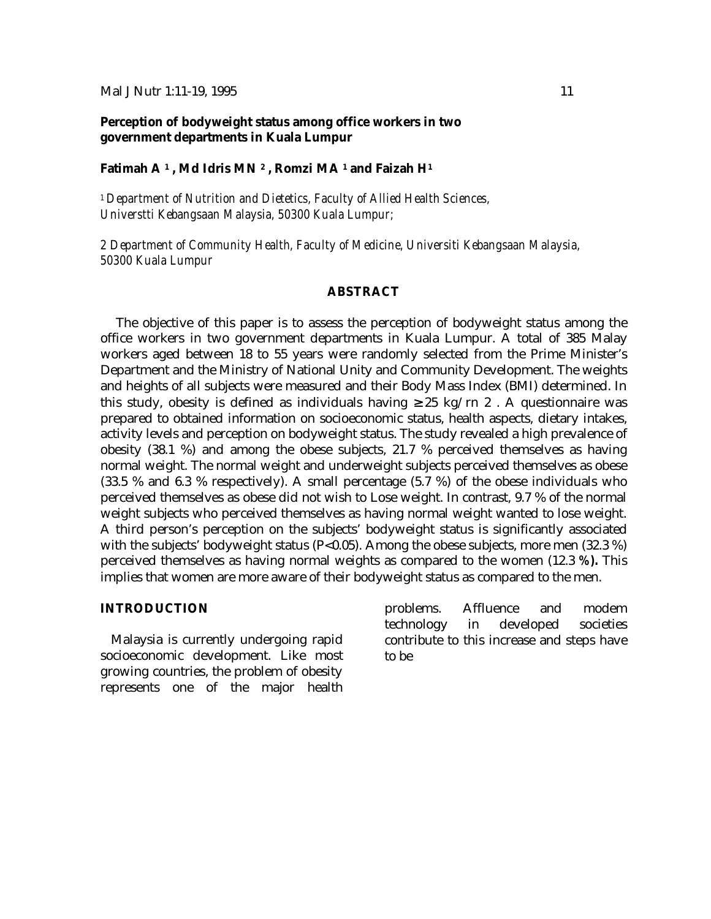#### Mal J Nutr 1:11-19, 1995 11

# **Perception of bodyweight status among office workers in two government departments in Kuala Lumpur**

#### **Fatimah A <sup>1</sup> , Md Idris MN <sup>2</sup> , Romzi MA <sup>1</sup> and Faizah H<sup>1</sup>**

*<sup>1</sup>Department of Nutrition and Dietetics, Faculty of Allied Health Sciences, Universtti Kebangsaan Malaysia, 50300 Kuala Lumpur;*

*2 Department of Community Health, Faculty of Medicine, Universiti Kebangsaan Malaysia, 50300 Kuala Lumpur*

### **ABSTRACT**

The objective of this paper is to assess the perception of bodyweight status among the office workers in two government departments in Kuala Lumpur. A total of 385 Malay workers aged between 18 to 55 years were randomly selected from the Prime Minister's Department and the Ministry of National Unity and Community Development. The weights and heights of all subjects were measured and their Body Mass Index (BMI) determined. In this study, obesity is defined as individuals having  $\geq 25$  kg/rn 2. A questionnaire was prepared to obtained information on socioeconomic status, health aspects, dietary intakes, activity levels and perception on bodyweight status. The study revealed a high prevalence of obesity (38.1 %) and among the obese subjects, 21.7 % perceived themselves as having normal weight. The normal weight and underweight subjects perceived themselves as obese (33.5 % and 6.3 % respectively). A small percentage (5.7 %) of the obese individuals who perceived themselves as obese did not wish to Lose weight. In contrast, 9.7 % of the normal weight subjects who perceived themselves as having normal weight wanted to lose weight. A third person's perception on the subjects' bodyweight status is significantly associated with the subjects' bodyweight status ( $P<0.05$ ). Among the obese subjects, more men (32.3 %) perceived themselves as having normal weights as compared to the women (12.3 *%).* This implies that women are more aware of their bodyweight status as compared to the men.

## **INTRODUCTION**

Malaysia is currently undergoing rapid socioeconomic development. Like most growing countries, the problem of obesity represents one of the major health problems. Affluence and modem technology in developed societies contribute to this increase and steps have to be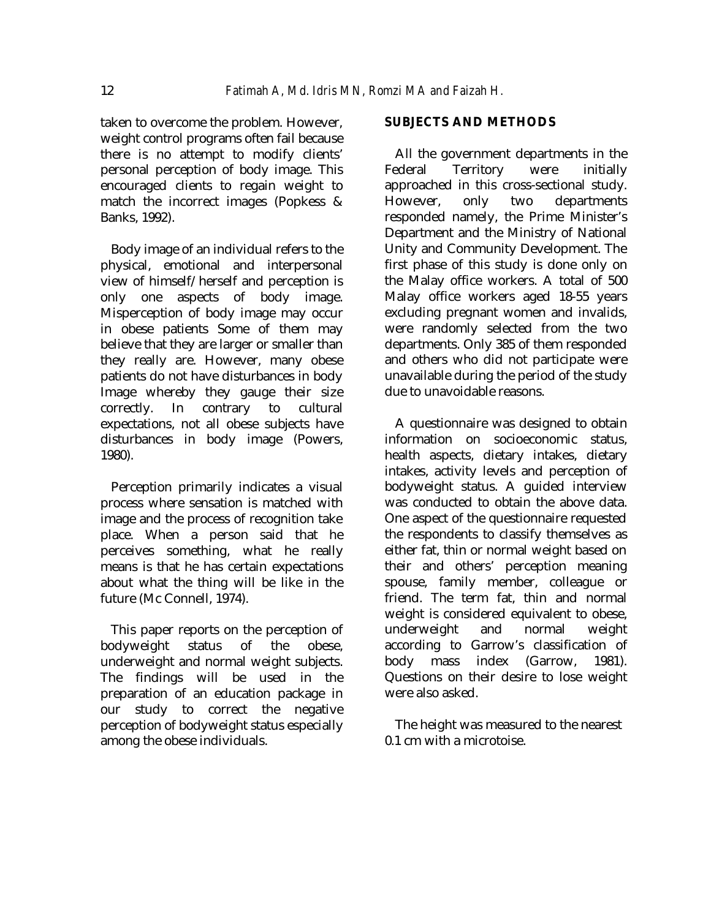taken to overcome the problem. However, weight control programs often fail because there is no attempt to modify clients' personal perception of body image. This encouraged clients to regain weight to match the incorrect images (Popkess & Banks, 1992).

Body image of an individual refers to the physical, emotional and interpersonal view of himself/herself and perception is only one aspects of body image. Misperception of body image may occur in obese patients Some of them may believe that they are larger or smaller than they really are. However, many obese patients do not have disturbances in body Image whereby they gauge their size correctly. In contrary to cultural expectations, not all obese subjects have disturbances in body image (Powers, 1980).

Perception primarily indicates a visual process where sensation is matched with image and the process of recognition take place. When a person said that he perceives something, what he really means is that he has certain expectations about what the thing will be like in the future (Mc Connell, 1974).

This paper reports on the perception of bodyweight status of the obese, underweight and normal weight subjects. The findings will be used in the preparation of an education package in our study to correct the negative perception of bodyweight status especially among the obese individuals.

### **SUBJECTS AND METHODS**

All the government departments in the Federal Territory were initially approached in this cross-sectional study. However, only two departments responded namely, the Prime Minister's Department and the Ministry of National Unity and Community Development. The first phase of this study is done only on the Malay office workers. A total of 500 Malay office workers aged 18-55 years excluding pregnant women and invalids, were randomly selected from the two departments. Only 385 of them responded and others who did not participate were unavailable during the period of the study due to unavoidable reasons.

A questionnaire was designed to obtain information on socioeconomic status, health aspects, dietary intakes, dietary intakes, activity levels and perception of bodyweight status. A guided interview was conducted to obtain the above data. One aspect of the questionnaire requested the respondents to classify themselves as either fat, thin or normal weight based on their and others' perception meaning spouse, family member, colleague or friend. The term fat, thin and normal weight is considered equivalent to obese, underweight and normal weight according to Garrow's classification of body mass index (Garrow, 1981). Questions on their desire to lose weight were also asked.

The height was measured to the nearest 0.1 cm with a microtoise.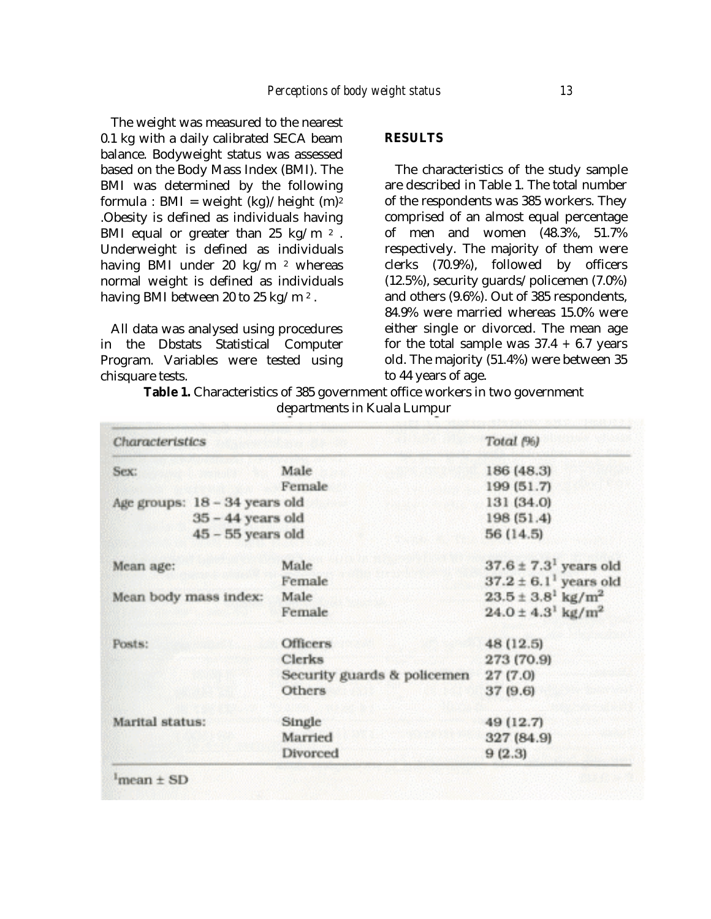The weight was measured to the nearest 0.1 kg with a daily calibrated SECA beam balance. Bodyweight status was assessed based on the Body Mass Index (BMI). The BMI was determined by the following formula : BMI = weight  $(kg)/height$  (m)<sup>2</sup> .Obesity is defined as individuals having BMI equal or greater than 25 kg/m  $2$ . Underweight is defined as individuals having BMI under 20 kg/m <sup>2</sup> whereas normal weight is defined as individuals having BMI between 20 to 25 kg/m<sup>2</sup>.

All data was analysed using procedures in the Dbstats Statistical Computer Program. Variables were tested using chisquare tests.

## **RESULTS**

The characteristics of the study sample are described in Table 1. The total number of the respondents was 385 workers. They comprised of an almost equal percentage of men and women (48.3%, 51.7% respectively. The majority of them were clerks (70.9%), followed by officers (12.5%), security guards/policemen (7.0%) and others (9.6%). Out of 385 respondents, 84.9% were married whereas 15.0% were either single or divorced. The mean age for the total sample was  $37.4 + 6.7$  years old. The majority (51.4%) were between 35 to 44 years of age.

Table 1. Characteristics of 385 government office workers in two government departments in Kuala Lumpur

| Characteristics               |                             | Total (%)                             |
|-------------------------------|-----------------------------|---------------------------------------|
| Sex:                          | Male                        | 186 (48.3)                            |
|                               | Female                      | 199 (51.7)                            |
| Age groups: 18 - 34 years old |                             | 131 (34.0)                            |
| $35 - 44$ years old           |                             | 198 (51.4)                            |
| $45 - 55$ years old           |                             | 56 (14.5)                             |
| Mean age:                     | Male                        | $37.6 \pm 7.3$ <sup>1</sup> years old |
|                               | Female                      | $37.2 \pm 6.1$ <sup>1</sup> years old |
| Mean body mass index:         | Male                        | $23.5 \pm 3.8^1$ kg/m <sup>2</sup>    |
|                               | Female                      | $24.0 \pm 4.3^1 \text{ kg/m}^2$       |
| Posts:                        | <b>Officers</b>             | 48 (12.5)                             |
|                               | Clerks                      | 273 (70.9)                            |
|                               | Security guards & policemen | 27(7.0)                               |
|                               | <b>Others</b>               | 37 (9.6)                              |
| Marital status:               | Single                      | 49 (12.7)                             |
|                               | Married                     | 327 (84.9)                            |
|                               | Divorced                    | 9(2.3)                                |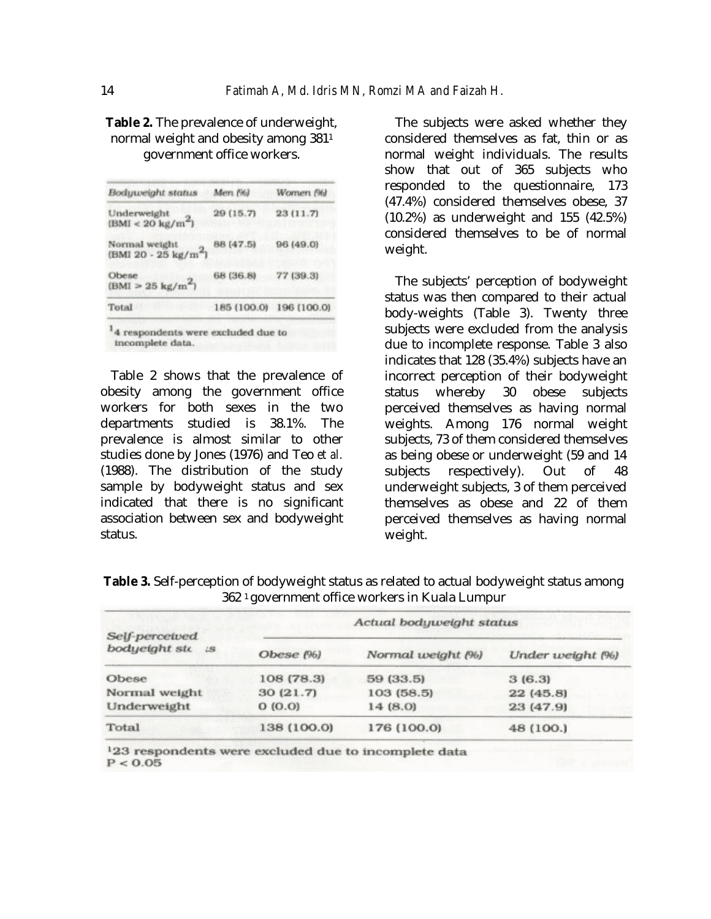| Bodyweight status                          | Men (%)     | Women (%)   |
|--------------------------------------------|-------------|-------------|
| Underweight<br>$(BMI < 20 \text{ kg/m}^2)$ | 29 (15.7)   | 23(11.7)    |
| Normal weight<br>$(BMI 20 - 25 kg/m2)$     | 88 (47.5)   | 96 (49.0)   |
| Obese<br>$(BMI > 25 \text{ kg/m}^2)$       | 68 (36.8)   | 77 (39.3)   |
| Total                                      | 185 (100.0) | 196 (100.0) |

normal weight and obesity among 381<sup>1</sup> government office workers.

**Table 2.** The prevalence of underweight,

<sup>1</sup>4 respondents were excluded due to incomplete data.

Table 2 shows that the prevalence of obesity among the government office workers for both sexes in the two departments studied is 38.1%. The prevalence is almost similar to other studies done by Jones (1976) and Teo *et al.*  (1988). The distribution of the study sample by bodyweight status and sex indicated that there is no significant association between sex and bodyweight status.

The subjects were asked whether they considered themselves as fat, thin or as normal weight individuals. The results show that out of 365 subjects who responded to the questionnaire, 173 (47.4%) considered themselves obese, 37 (10.2%) as underweight and 155 (42.5%) considered themselves to be of normal weight.

The subjects' perception of bodyweight status was then compared to their actual body-weights (Table 3). Twenty three subjects were excluded from the analysis due to incomplete response. Table 3 also indicates that 128 (35.4%) subjects have an incorrect perception of their bodyweight status whereby 30 obese subjects perceived themselves as having normal weights. Among 176 normal weight subjects, 73 of them considered themselves as being obese or underweight (59 and 14 subjects respectively). Out of 48 underweight subjects, 3 of them perceived themselves as obese and 22 of them perceived themselves as having normal weight.

|                     |                          | 302 · government onnce workers in Kuala Lumpur |                  |
|---------------------|--------------------------|------------------------------------------------|------------------|
| Self-perceived      | Actual bodyweight status |                                                |                  |
| bodyeight sto<br>1S | Obese (%)                | Normal weight (%)                              | Under weight (%) |
| Obese               | 108 (78.3)               | 59 (33.5)                                      | 3(6.3)           |
| Normal weight       | 30(21.7)                 | 103 (58.5)                                     | 22 (45.8)        |
| Underweight         | O(0.0)                   | 14(8.0)                                        | 23 (47.9)        |
| Total               | 138 (100.0)              | 176 (100.0)                                    | 48 (100.)        |

**Table 3.** Self-perception of bodyweight status as related to actual bodyweight status among 362 1 government office workers in Kuala Lumpur

<sup>1</sup>23 respondents were excluded due to incomplete data  $P < 0.05$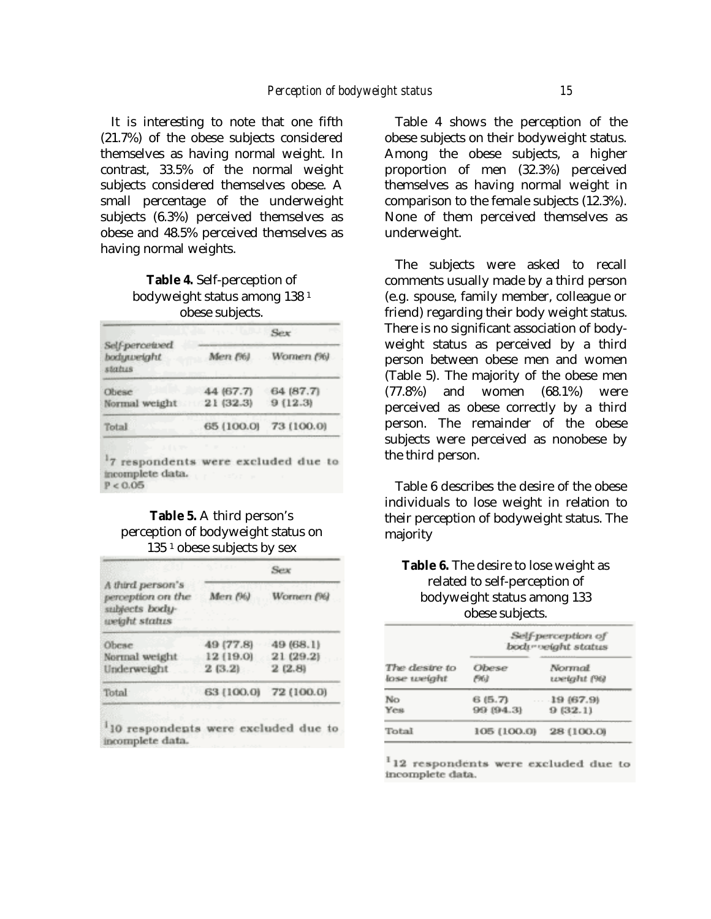It is interesting to note that one fifth (21.7%) of the obese subjects considered themselves as having normal weight. In contrast, 33.5% of the normal weight subjects considered themselves obese. A small percentage of the underweight subjects (6.3%) perceived themselves as obese and 48.5% perceived themselves as having normal weights.

# **Table 4***.* Self-perception of bodyweight status among 138 <sup>1</sup> obese subjects.

|                                        | die Franklingen<br>Sex |            |  |
|----------------------------------------|------------------------|------------|--|
| Self-perceived<br>bodyweight<br>status | Men (%)                | Women (%)  |  |
| Obese                                  | 44 (67.7)              | 64 (87.7)  |  |
| Normal weight 21 (32.3)                |                        | 9(12.3)    |  |
| Total                                  | 65 (100.0)             | 73 (100.0) |  |

# **Table 5.** A third person's perception of bodyweight status on 135 <sup>1</sup> obese subjects by sex

|                                                                          | Sex        |            |  |
|--------------------------------------------------------------------------|------------|------------|--|
| A third person's<br>perception on the<br>subjects body-<br>weight status | Men (%)    | Wornen (%) |  |
| Obese                                                                    | 49 (77.8)  | 49 (68.1)  |  |
| Normal weight                                                            | 12 (19.0)  | 21 (29.2)  |  |
| Underweight                                                              | 2(3.2)     | 2(2.8)     |  |
| Total                                                                    | 63 (100.0) | 72 (100.0) |  |

'10 respondents were excluded due to incomplete data.

Table 4 shows the perception of the obese subjects on their bodyweight status. Among the obese subjects, a higher proportion of men (32.3%) perceived themselves as having normal weight in comparison to the female subjects (12.3%). None of them perceived themselves as underweight.

The subjects were asked to recall comments usually made by a third person (e.g. spouse, family member, colleague or friend) regarding their body weight status. There is no significant association of bodyweight status as perceived by a third person between obese men and women (Table 5). The majority of the obese men (77.8%) and women (68.1%) were perceived as obese correctly by a third person. The remainder of the obese subjects were perceived as nonobese by the third person.

Table 6 describes the desire of the obese individuals to lose weight in relation to their perception of bodyweight status. The majority

**Table 6.** The desire to lose weight as related to self-perception of bodyweight status among 133 obese subjects.

|               | Self-perception of<br>bodır velaht status |            |  |
|---------------|-------------------------------------------|------------|--|
| The desire to | Obese                                     | Normal     |  |
| lose weight   | (Mi)                                      | weight (%) |  |
| No            | 6 (5.7)                                   | 19(67.9)   |  |
| Yes           | 99 (94.3)                                 | 9(32.1)    |  |
| Total         | 105 (100.0)                               | 28 (100.0) |  |

<sup>1</sup>12 respondents were excluded due to incomplete data.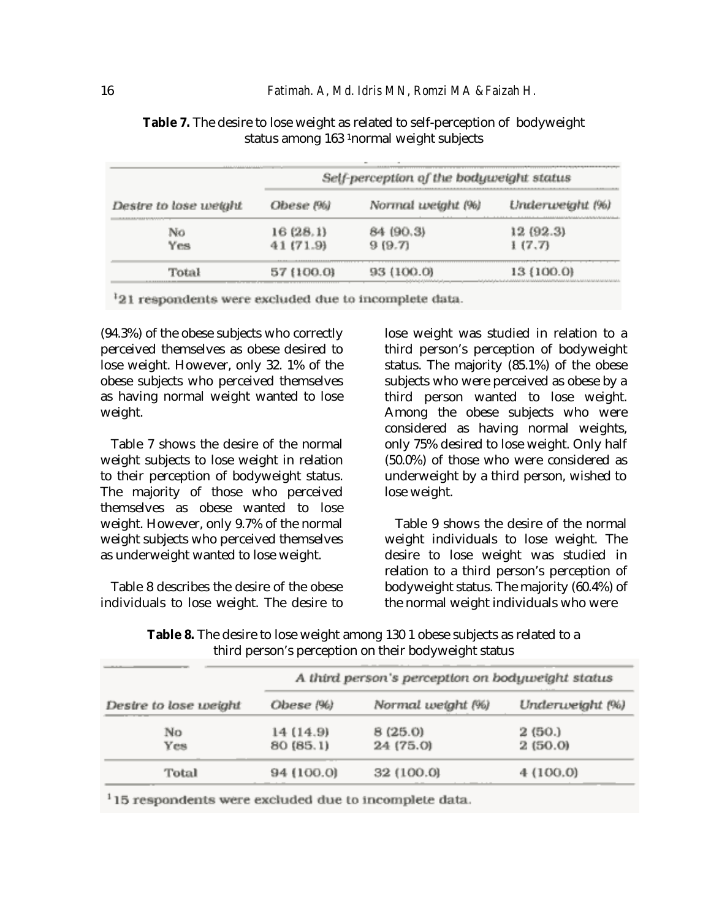|                       | Self-perception of the bodyweight status<br>------ |                   |                 |
|-----------------------|----------------------------------------------------|-------------------|-----------------|
| Destre to lose weight | Obese (%)                                          | Normal weight (%) | Underweight (%) |
| No                    | 16 (28.1)                                          | 84 (90.3)         | 12 (92.3)       |
| Yes                   | 41 (71.9)                                          | 919.71            | 1(7.7)          |
| Total                 | ****************<br>57 (100.0)                     | (100.0)           | 13 (100.0)      |

**Table 7.** The desire to lose weight as related to self-perception of bodyweight status among 163 1normal weight subjects

<sup>1</sup>21 respondents were excluded due to incomplete data.

(94.3%) of the obese subjects who correctly perceived themselves as obese desired to lose weight. However, only 32. 1% of the obese subjects who perceived themselves as having normal weight wanted to lose weight.

Table 7 shows the desire of the normal weight subjects to lose weight in relation to their perception of bodyweight status. The majority of those who perceived themselves as obese wanted to lose weight. However, only 9.7% of the normal weight subjects who perceived themselves as underweight wanted to lose weight.

Table 8 describes the desire of the obese individuals to lose weight. The desire to lose weight was studied in relation to a third person's perception of bodyweight status. The majority (85.1%) of the obese subjects who were perceived as obese by a third person wanted to lose weight. Among the obese subjects who were considered as having normal weights, only 75% desired to lose weight. Only half (50.0%) of those who were considered as underweight by a third person, wished to lose weight.

Table 9 shows the desire of the normal weight individuals to lose weight. The desire to lose weight was studied in relation to a third person's perception of bodyweight status. The majority (60.4%) of the normal weight individuals who were

**Table 8.** The desire to lose weight among 130 1 obese subjects as related to a third person's perception on their bodyweight status

|                       | A third person's perception on bodyweight status |                   |                 |
|-----------------------|--------------------------------------------------|-------------------|-----------------|
| Desire to lose weight | Obese (%)                                        | Normal weight (%) | Underweight (%) |
| No                    | 14 (14.9)                                        | 8(25.0)           | 2 (50.)         |
| Yes                   | 80 (85.1)                                        | 24 (75.0)         | 2(50.0)         |
| Total                 | 94 (100.0)                                       | 32 (100.0)        | 4 (100.0)       |

<sup>1</sup>15 respondents were excluded due to incomplete data.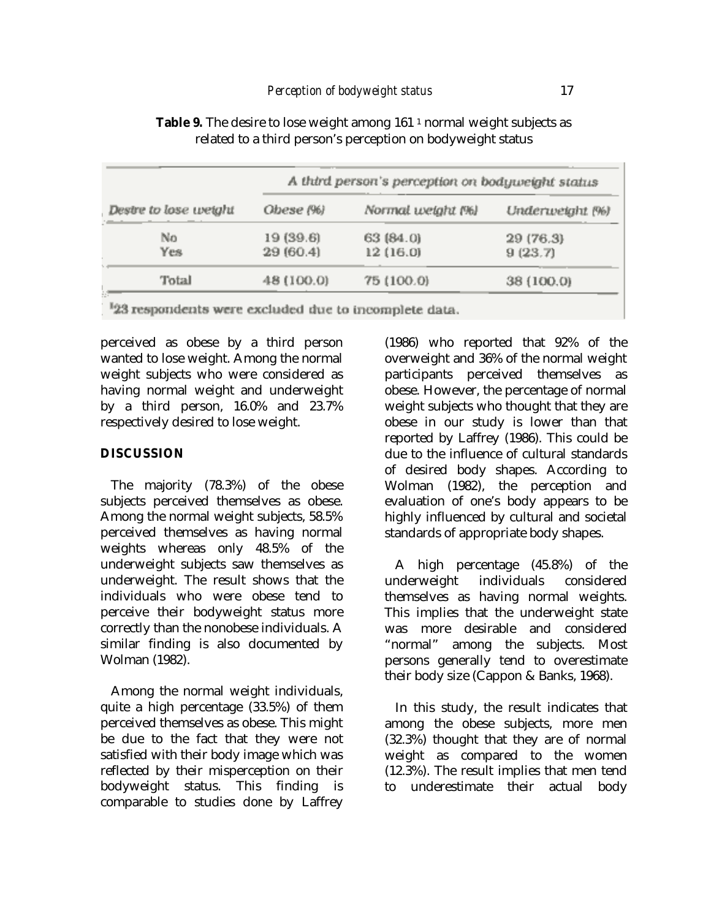|                         | A third person's perception on bodyweight status |                   |                 |
|-------------------------|--------------------------------------------------|-------------------|-----------------|
| . Destre to lose weight | Ohese (%)                                        | Normal weight (%) | Underweight (%) |
| No                      | 19 (39.6)                                        | 63 (84.0)         | 29 (76.3)       |
| Yes                     | 29 (60.4)                                        | 12 (16.0)         | 9(23.7)         |
| Total                   | 48 (100.0)                                       | 75 (100.0)        | 38 (100.0)      |

**Table 9.** The desire to lose weight among 161<sup>1</sup> normal weight subjects as related to a third person's perception on bodyweight status

23 respondents were excluded due to incomplete data.

perceived as obese by a third person wanted to lose weight. Among the normal weight subjects who were considered as having normal weight and underweight by a third person, 16.0% and 23.7% respectively desired to lose weight.

# **DISCUSSION**

The majority (78.3%) of the obese subjects perceived themselves as obese. Among the normal weight subjects, 58.5% perceived themselves as having normal weights whereas only 48.5% of the underweight subjects saw themselves as underweight. The result shows that the individuals who were obese tend to perceive their bodyweight status more correctly than the nonobese individuals. A similar finding is also documented by Wolman (1982).

Among the normal weight individuals, quite a high percentage (33.5%) of them perceived themselves as obese. This might be due to the fact that they were not satisfied with their body image which was reflected by their misperception on their bodyweight status. This finding is comparable to studies done by Laffrey (1986) who reported that 92% of the overweight and 36% of the normal weight participants perceived themselves as obese. However, the percentage of normal weight subjects who thought that they are obese in our study is lower than that reported by Laffrey (1986). This could be due to the influence of cultural standards of desired body shapes. According to Wolman (1982), the perception and evaluation of one's body appears to be highly influenced by cultural and societal standards of appropriate body shapes.

A high percentage (45.8%) of the underweight individuals considered themselves as having normal weights. This implies that the underweight state was more desirable and considered "normal" among the subjects. Most persons generally tend to overestimate their body size (Cappon & Banks, 1968).

In this study, the result indicates that among the obese subjects, more men (32.3%) thought that they are of normal weight as compared to the women (12.3%). The result implies that men tend to underestimate their actual body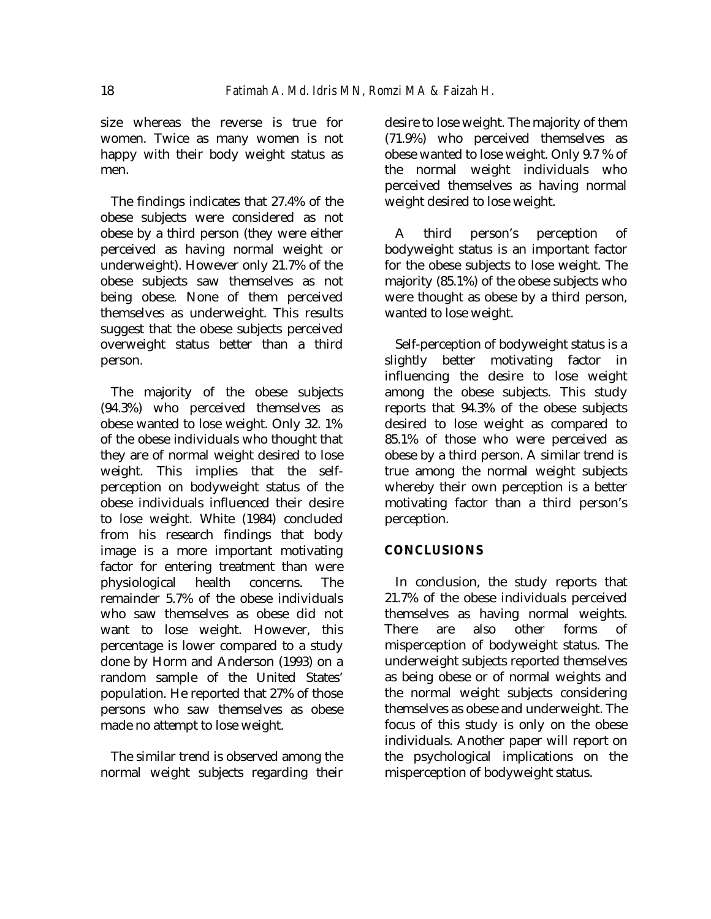size whereas the reverse is true for women. Twice as many women is not happy with their body weight status as men.

The findings indicates that 27.4% of the obese subjects were considered as not obese by a third person (they were either perceived as having normal weight or underweight). However only 21.7% of the obese subjects saw themselves as not being obese. None of them perceived themselves as underweight. This results suggest that the obese subjects perceived overweight status better than a third person.

The majority of the obese subjects (94.3%) who perceived themselves as obese wanted to lose weight. Only 32. 1% of the obese individuals who thought that they are of normal weight desired to lose weight. This implies that the selfperception on bodyweight status of the obese individuals influenced their desire to lose weight. White (1984) concluded from his research findings that body image is a more important motivating factor for entering treatment than were physiological health concerns. The remainder 5.7% of the obese individuals who saw themselves as obese did not want to lose weight. However, this percentage is lower compared to a study done by Horm and Anderson (1993) on a random sample of the United States' population. He reported that 27% of those persons who saw themselves as obese made no attempt to lose weight.

The similar trend is observed among the normal weight subjects regarding their desire to lose weight. The majority of them (71.9%) who perceived themselves as obese wanted to lose weight. Only 9.7 % of the normal weight individuals who perceived themselves as having normal weight desired to lose weight.

A third person's perception of bodyweight status is an important factor for the obese subjects to lose weight. The majority (85.1%) of the obese subjects who were thought as obese by a third person, wanted to lose weight.

Self-perception of bodyweight status is a slightly better motivating factor in influencing the desire to lose weight among the obese subjects. This study reports that 94.3% of the obese subjects desired to lose weight as compared to 85.1% of those who were perceived as obese by a third person. A similar trend is true among the normal weight subjects whereby their own perception is a better motivating factor than a third person's perception.

# **CONCLUSIONS**

In conclusion, the study reports that 21.7% of the obese individuals perceived themselves as having normal weights. There are also other forms of misperception of bodyweight status. The underweight subjects reported themselves as being obese or of normal weights and the normal weight subjects considering themselves as obese and underweight. The focus of this study is only on the obese individuals. Another paper will report on the psychological implications on the misperception of bodyweight status.